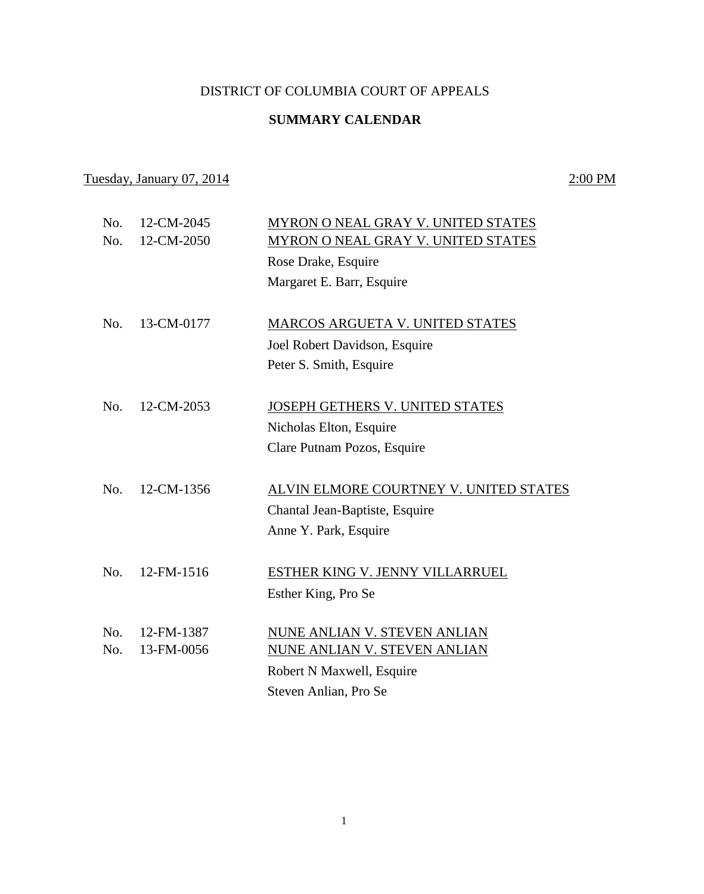## DISTRICT OF COLUMBIA COURT OF APPEALS

## **SUMMARY CALENDAR**

## Tuesday, January 07, 2014 2:00 PM

| No. | 12-CM-2045        | MYRON O NEAL GRAY V. UNITED STATES<br>MYRON O NEAL GRAY V. UNITED STATES |
|-----|-------------------|--------------------------------------------------------------------------|
|     |                   | Rose Drake, Esquire                                                      |
|     |                   | Margaret E. Barr, Esquire                                                |
|     |                   |                                                                          |
| No. | 13-CM-0177        | MARCOS ARGUETA V. UNITED STATES                                          |
|     |                   | Joel Robert Davidson, Esquire                                            |
|     |                   | Peter S. Smith, Esquire                                                  |
|     |                   |                                                                          |
| No. | 12-CM-2053        | <b>JOSEPH GETHERS V. UNITED STATES</b>                                   |
|     |                   | Nicholas Elton, Esquire                                                  |
|     |                   | Clare Putnam Pozos, Esquire                                              |
|     |                   |                                                                          |
| No. | 12-CM-1356        | ALVIN ELMORE COURTNEY V. UNITED STATES                                   |
|     |                   | Chantal Jean-Baptiste, Esquire                                           |
|     |                   | Anne Y. Park, Esquire                                                    |
|     |                   |                                                                          |
|     |                   | <b>ESTHER KING V. JENNY VILLARRUEL</b>                                   |
|     |                   | Esther King, Pro Se                                                      |
|     |                   | NUNE ANLIAN V. STEVEN ANLIAN                                             |
| No. | 13-FM-0056        | <b>NUNE ANLIAN V. STEVEN ANLIAN</b>                                      |
|     |                   | Robert N Maxwell, Esquire                                                |
|     |                   | Steven Anlian, Pro Se                                                    |
|     | No.<br>No.<br>No. | 12-CM-2050<br>12-FM-1516<br>12-FM-1387                                   |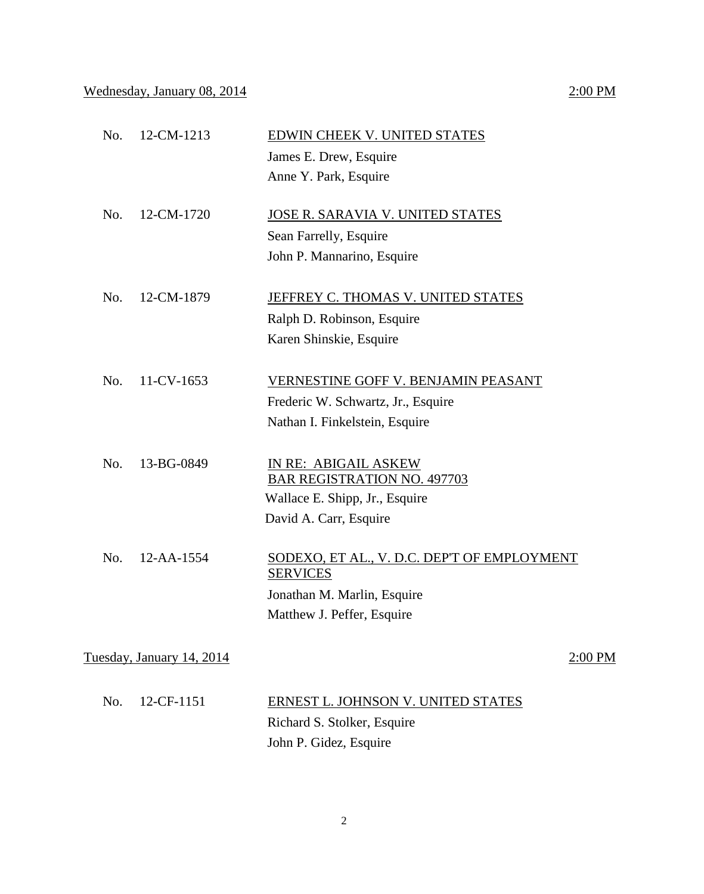| No. | 12-CM-1213                | <b>EDWIN CHEEK V. UNITED STATES</b>                            |
|-----|---------------------------|----------------------------------------------------------------|
|     |                           | James E. Drew, Esquire                                         |
|     |                           | Anne Y. Park, Esquire                                          |
| No. | 12-CM-1720                | <u>JOSE R. SARAVIA V. UNITED STATES</u>                        |
|     |                           | Sean Farrelly, Esquire                                         |
|     |                           | John P. Mannarino, Esquire                                     |
| No. | 12-CM-1879                | JEFFREY C. THOMAS V. UNITED STATES                             |
|     |                           | Ralph D. Robinson, Esquire                                     |
|     |                           | Karen Shinskie, Esquire                                        |
|     |                           |                                                                |
| No. | 11-CV-1653                | VERNESTINE GOFF V. BENJAMIN PEASANT                            |
|     |                           | Frederic W. Schwartz, Jr., Esquire                             |
|     |                           | Nathan I. Finkelstein, Esquire                                 |
|     |                           |                                                                |
| No. | 13-BG-0849                | IN RE: ABIGAIL ASKEW                                           |
|     |                           | <b>BAR REGISTRATION NO. 497703</b>                             |
|     |                           | Wallace E. Shipp, Jr., Esquire                                 |
|     |                           | David A. Carr, Esquire                                         |
| No. | 12-AA-1554                | SODEXO, ET AL., V. D.C. DEP'T OF EMPLOYMENT<br><b>SERVICES</b> |
|     |                           | Jonathan M. Marlin, Esquire                                    |
|     |                           | Matthew J. Peffer, Esquire                                     |
|     |                           |                                                                |
|     | Tuesday, January 14, 2014 | 2:00 PM                                                        |
|     |                           |                                                                |
| No. | 12-CF-1151                | ERNEST L. JOHNSON V. UNITED STATES                             |
|     |                           | Richard S. Stolker, Esquire                                    |

John P. Gidez, Esquire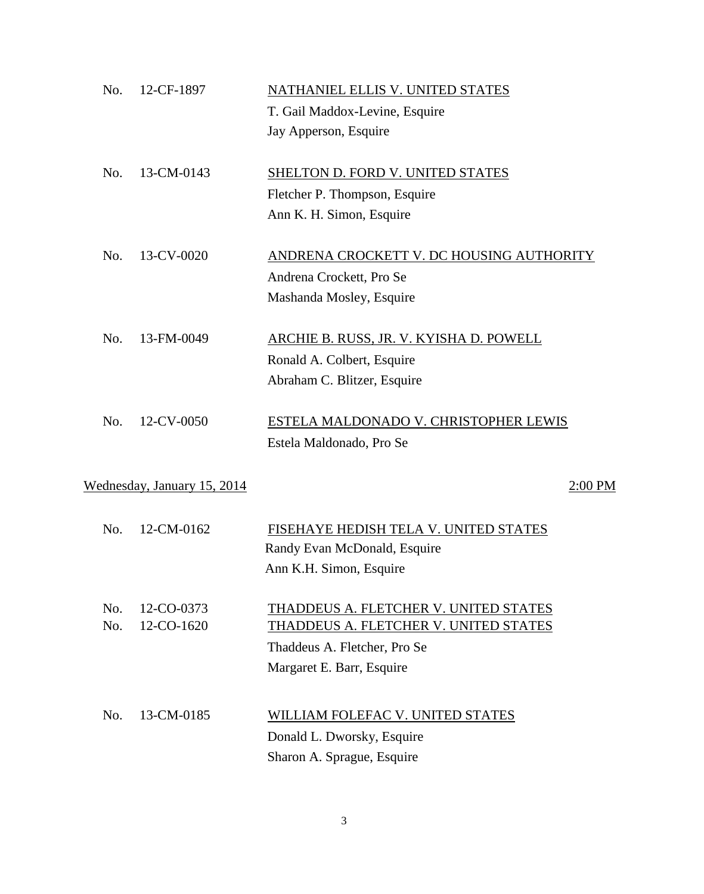| No. | 12-CF-1897                  | NATHANIEL ELLIS V. UNITED STATES         |
|-----|-----------------------------|------------------------------------------|
|     |                             | T. Gail Maddox-Levine, Esquire           |
|     |                             | Jay Apperson, Esquire                    |
| No. | 13-CM-0143                  | SHELTON D. FORD V. UNITED STATES         |
|     |                             | Fletcher P. Thompson, Esquire            |
|     |                             | Ann K. H. Simon, Esquire                 |
| No. | 13-CV-0020                  | ANDRENA CROCKETT V. DC HOUSING AUTHORITY |
|     |                             | Andrena Crockett, Pro Se                 |
|     |                             | Mashanda Mosley, Esquire                 |
| No. | 13-FM-0049                  | ARCHIE B. RUSS, JR. V. KYISHA D. POWELL  |
|     |                             | Ronald A. Colbert, Esquire               |
|     |                             | Abraham C. Blitzer, Esquire              |
|     |                             |                                          |
| No. | 12-CV-0050                  | ESTELA MALDONADO V. CHRISTOPHER LEWIS    |
|     |                             | Estela Maldonado, Pro Se                 |
|     |                             |                                          |
|     | Wednesday, January 15, 2014 | $2:00$ PM                                |
|     |                             |                                          |
| No. | 12-CM-0162                  | FISEHAYE HEDISH TELA V. UNITED STATES    |
|     |                             | Randy Evan McDonald, Esquire             |
|     |                             | Ann K.H. Simon, Esquire                  |
| No. | 12-CO-0373                  | THADDEUS A. FLETCHER V. UNITED STATES    |
| No. | 12-CO-1620                  | THADDEUS A. FLETCHER V. UNITED STATES    |
|     |                             | Thaddeus A. Fletcher, Pro Se             |
|     |                             | Margaret E. Barr, Esquire                |
|     |                             |                                          |
| No. | 13-CM-0185                  | WILLIAM FOLEFAC V. UNITED STATES         |
|     |                             | Donald L. Dworsky, Esquire               |
|     |                             | Sharon A. Sprague, Esquire               |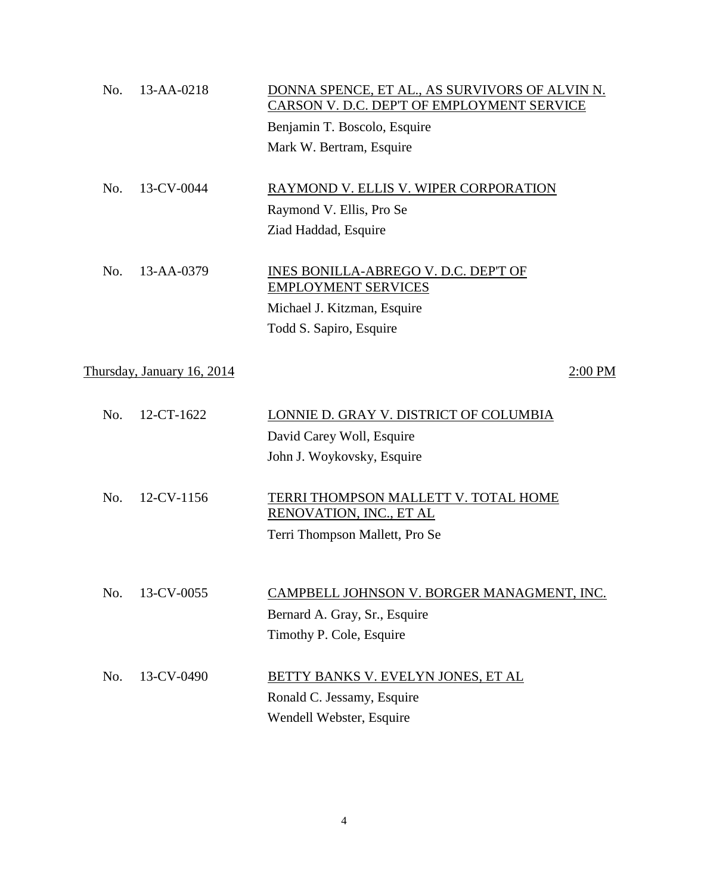| No. | 13-AA-0218                 | DONNA SPENCE, ET AL., AS SURVIVORS OF ALVIN N.<br>CARSON V. D.C. DEP'T OF EMPLOYMENT SERVICE<br>Benjamin T. Boscolo, Esquire |
|-----|----------------------------|------------------------------------------------------------------------------------------------------------------------------|
|     |                            | Mark W. Bertram, Esquire                                                                                                     |
|     |                            |                                                                                                                              |
| No. | 13-CV-0044                 | RAYMOND V. ELLIS V. WIPER CORPORATION                                                                                        |
|     |                            | Raymond V. Ellis, Pro Se                                                                                                     |
|     |                            | Ziad Haddad, Esquire                                                                                                         |
| No. | 13-AA-0379                 | INES BONILLA-ABREGO V. D.C. DEP'T OF                                                                                         |
|     |                            | <b>EMPLOYMENT SERVICES</b>                                                                                                   |
|     |                            | Michael J. Kitzman, Esquire                                                                                                  |
|     |                            | Todd S. Sapiro, Esquire                                                                                                      |
|     | Thursday, January 16, 2014 | 2:00 PM                                                                                                                      |
| No. | 12-CT-1622                 | LONNIE D. GRAY V. DISTRICT OF COLUMBIA                                                                                       |
|     |                            | David Carey Woll, Esquire                                                                                                    |
|     |                            | John J. Woykovsky, Esquire                                                                                                   |
| No. | 12-CV-1156                 | <b>TERRI THOMPSON MALLETT V. TOTAL HOME</b><br>RENOVATION, INC., ET AL                                                       |
|     |                            | Terri Thompson Mallett, Pro Se                                                                                               |
|     |                            |                                                                                                                              |
| No. | 13-CV-0055                 | CAMPBELL JOHNSON V. BORGER MANAGMENT, INC.                                                                                   |
|     |                            | Bernard A. Gray, Sr., Esquire                                                                                                |
|     |                            | Timothy P. Cole, Esquire                                                                                                     |
|     |                            |                                                                                                                              |
| No. | 13-CV-0490                 | BETTY BANKS V. EVELYN JONES, ET AL                                                                                           |
|     |                            | Ronald C. Jessamy, Esquire                                                                                                   |
|     |                            | Wendell Webster, Esquire                                                                                                     |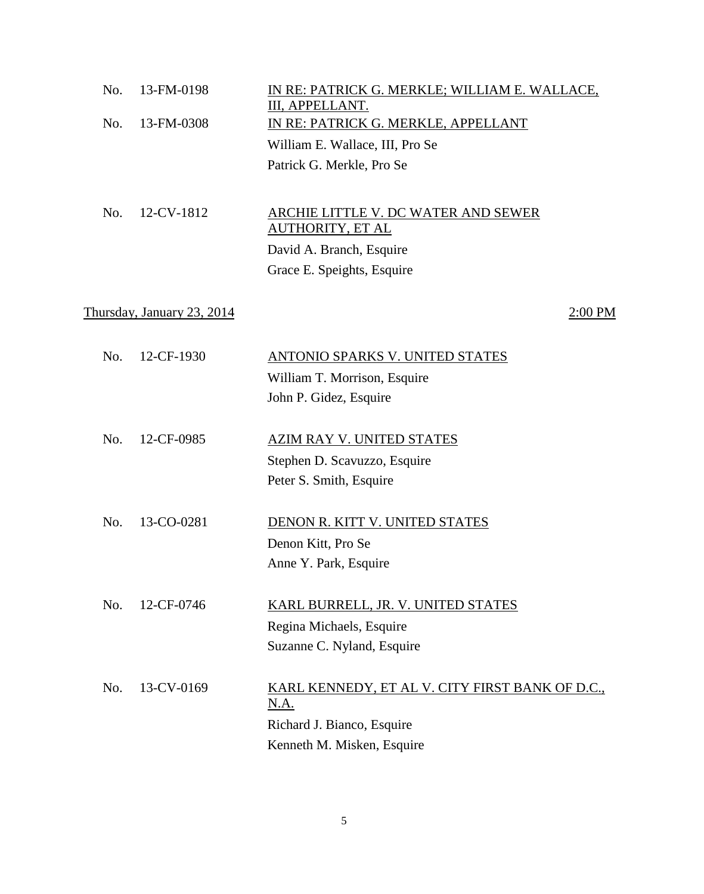| No. | 13-FM-0198                 | IN RE: PATRICK G. MERKLE; WILLIAM E. WALLACE,<br>III, APPELLANT. |
|-----|----------------------------|------------------------------------------------------------------|
| No. | 13-FM-0308                 | IN RE: PATRICK G. MERKLE, APPELLANT                              |
|     |                            | William E. Wallace, III, Pro Se                                  |
|     |                            | Patrick G. Merkle, Pro Se                                        |
|     |                            |                                                                  |
| No. | 12-CV-1812                 | ARCHIE LITTLE V. DC WATER AND SEWER                              |
|     |                            | <b>AUTHORITY, ET AL</b>                                          |
|     |                            | David A. Branch, Esquire                                         |
|     |                            | Grace E. Speights, Esquire                                       |
|     |                            |                                                                  |
|     | Thursday, January 23, 2014 | 2:00 PM                                                          |
|     |                            |                                                                  |
| No. | 12-CF-1930                 | ANTONIO SPARKS V. UNITED STATES                                  |
|     |                            | William T. Morrison, Esquire                                     |
|     |                            | John P. Gidez, Esquire                                           |
|     |                            |                                                                  |
| No. | 12-CF-0985                 | AZIM RAY V. UNITED STATES                                        |
|     |                            | Stephen D. Scavuzzo, Esquire                                     |
|     |                            | Peter S. Smith, Esquire                                          |
|     |                            |                                                                  |
| No. | 13-CO-0281                 | DENON R. KITT V. UNITED STATES                                   |
|     |                            | Denon Kitt, Pro Se                                               |
|     |                            | Anne Y. Park, Esquire                                            |
|     |                            |                                                                  |
| No. | 12-CF-0746                 | KARL BURRELL, JR. V. UNITED STATES                               |
|     |                            | Regina Michaels, Esquire                                         |
|     |                            | Suzanne C. Nyland, Esquire                                       |
|     |                            |                                                                  |
| No. | 13-CV-0169                 | KARL KENNEDY, ET AL V. CITY FIRST BANK OF D.C.,<br><u>N.A.</u>   |
|     |                            | Richard J. Bianco, Esquire                                       |
|     |                            | Kenneth M. Misken, Esquire                                       |
|     |                            |                                                                  |